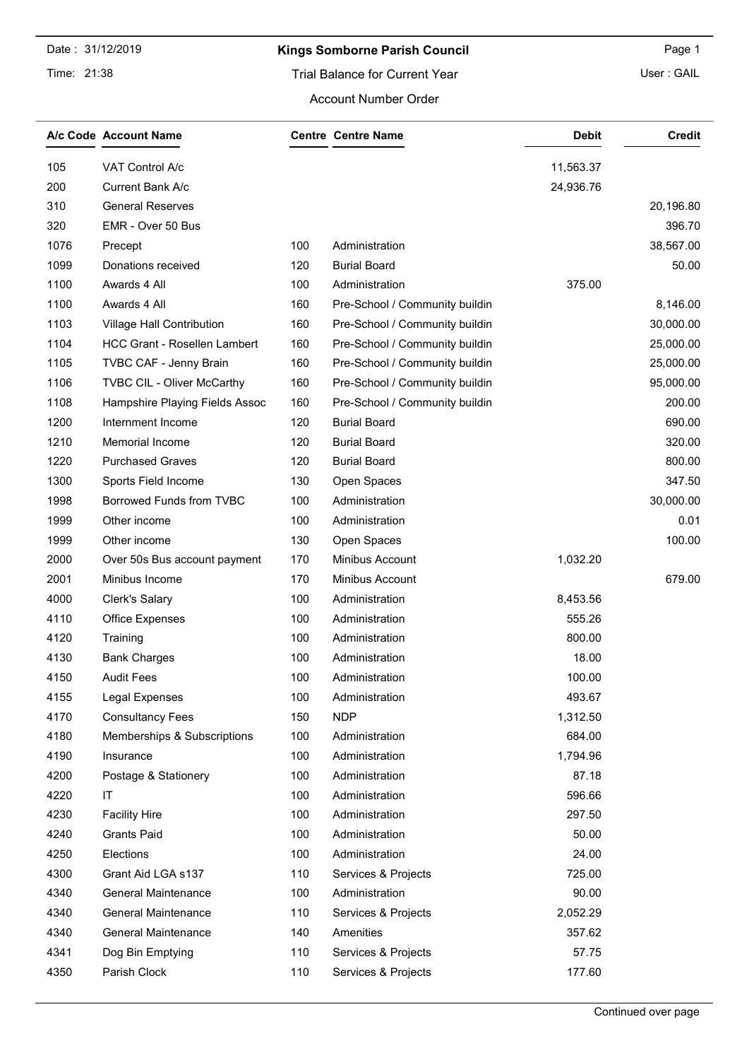Date : 31/12/2019

### Time: 21:38

## Kings Somborne Parish Council **Example 2018** Page 1

User : GAIL

#### Account Number Order

|      | A/c Code Account Name               |     | <b>Centre Centre Name</b>      | <b>Debit</b> | <b>Credit</b> |
|------|-------------------------------------|-----|--------------------------------|--------------|---------------|
| 105  | VAT Control A/c                     |     |                                | 11,563.37    |               |
| 200  | Current Bank A/c                    |     |                                | 24,936.76    |               |
| 310  | <b>General Reserves</b>             |     |                                |              | 20,196.80     |
| 320  | EMR - Over 50 Bus                   |     |                                |              | 396.70        |
| 1076 | Precept                             | 100 | Administration                 |              | 38,567.00     |
| 1099 | Donations received                  | 120 | <b>Burial Board</b>            |              | 50.00         |
| 1100 | Awards 4 All                        | 100 | Administration                 | 375.00       |               |
| 1100 | Awards 4 All                        | 160 | Pre-School / Community buildin |              | 8,146.00      |
| 1103 | Village Hall Contribution           | 160 | Pre-School / Community buildin |              | 30,000.00     |
| 1104 | <b>HCC Grant - Rosellen Lambert</b> | 160 | Pre-School / Community buildin |              | 25,000.00     |
| 1105 | TVBC CAF - Jenny Brain              | 160 | Pre-School / Community buildin |              | 25,000.00     |
| 1106 | TVBC CIL - Oliver McCarthy          | 160 | Pre-School / Community buildin |              | 95,000.00     |
| 1108 | Hampshire Playing Fields Assoc      | 160 | Pre-School / Community buildin |              | 200.00        |
| 1200 | Internment Income                   | 120 | <b>Burial Board</b>            |              | 690.00        |
| 1210 | <b>Memorial Income</b>              | 120 | <b>Burial Board</b>            |              | 320.00        |
| 1220 | <b>Purchased Graves</b>             | 120 | <b>Burial Board</b>            |              | 800.00        |
| 1300 | Sports Field Income                 | 130 | Open Spaces                    |              | 347.50        |
| 1998 | Borrowed Funds from TVBC            | 100 | Administration                 |              | 30,000.00     |
| 1999 | Other income                        | 100 | Administration                 |              | 0.01          |
| 1999 | Other income                        | 130 | Open Spaces                    |              | 100.00        |
| 2000 | Over 50s Bus account payment        | 170 | Minibus Account                | 1,032.20     |               |
| 2001 | Minibus Income                      | 170 | Minibus Account                |              | 679.00        |
| 4000 | Clerk's Salary                      | 100 | Administration                 | 8,453.56     |               |
| 4110 | <b>Office Expenses</b>              | 100 | Administration                 | 555.26       |               |
| 4120 | Training                            | 100 | Administration                 | 800.00       |               |
| 4130 | <b>Bank Charges</b>                 | 100 | Administration                 | 18.00        |               |
| 4150 | <b>Audit Fees</b>                   | 100 | Administration                 | 100.00       |               |
| 4155 | Legal Expenses                      | 100 | Administration                 | 493.67       |               |
| 4170 | <b>Consultancy Fees</b>             | 150 | <b>NDP</b>                     | 1,312.50     |               |
| 4180 | Memberships & Subscriptions         | 100 | Administration                 | 684.00       |               |
| 4190 | Insurance                           | 100 | Administration                 | 1,794.96     |               |
| 4200 | Postage & Stationery                | 100 | Administration                 | 87.18        |               |
| 4220 | IT                                  | 100 | Administration                 | 596.66       |               |
| 4230 | <b>Facility Hire</b>                | 100 | Administration                 | 297.50       |               |
| 4240 | <b>Grants Paid</b>                  | 100 | Administration                 | 50.00        |               |
| 4250 | Elections                           | 100 | Administration                 | 24.00        |               |
| 4300 | Grant Aid LGA s137                  | 110 | Services & Projects            | 725.00       |               |
| 4340 | <b>General Maintenance</b>          | 100 | Administration                 | 90.00        |               |
| 4340 | <b>General Maintenance</b>          | 110 | Services & Projects            | 2,052.29     |               |
| 4340 | <b>General Maintenance</b>          | 140 | Amenities                      | 357.62       |               |
| 4341 | Dog Bin Emptying                    | 110 | Services & Projects            | 57.75        |               |
| 4350 | Parish Clock                        | 110 | Services & Projects            | 177.60       |               |